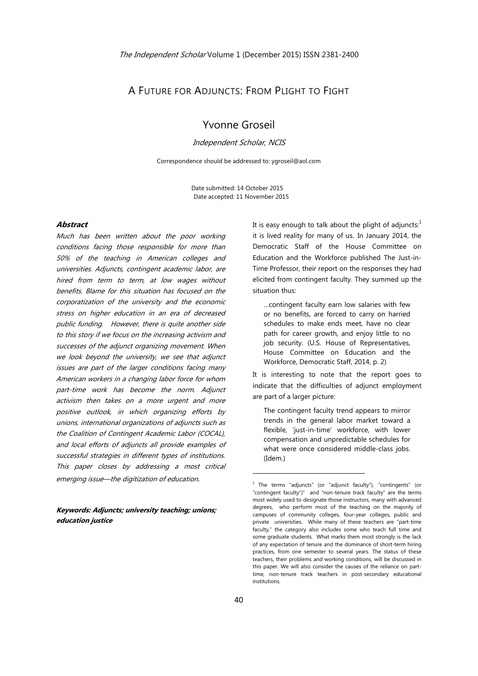## A FUTURE FOR ADJUNCTS: FROM PLIGHT TO FIGHT

# Yvonne Groseil

Independent Scholar, NCIS

Correspondence should be addressed to: ygroseil@aol.com

 Date submitted: 14 October 2015 Date accepted: 11 November 2015

## **Abstract**

Much has been written about the poor working conditions facing those responsible for more than 50% of the teaching in American colleges and universities. Adjuncts, contingent academic labor, are hired from term to term, at low wages without benefits. Blame for this situation has focused on the corporatization of the university and the economic stress on higher education in an era of decreased public funding. However, there is quite another side to this story if we focus on the increasing activism and successes of the adjunct organizing movement. When we look beyond the university, we see that adjunct issues are part of the larger conditions facing many American workers in a changing labor force for whom part-time work has become the norm. Adjunct activism then takes on a more urgent and more positive outlook, in which organizing efforts by unions, international organizations of adjuncts such as the Coalition of Contingent Academic Labor (COCAL), and local efforts of adjuncts all provide examples of successful strategies in different types of institutions. This paper closes by addressing a most critical emerging issue—the digitization of education.

**Keywords: Adjuncts; university teaching; unions; education justice** 

It is easy enough to talk about the plight of adjuncts: $1$ it is lived reality for many of us. In January 2014, the Democratic Staff of the House Committee on Education and the Workforce published The Just-in-Time Professor, their report on the responses they had elicited from contingent faculty. They summed up the situation thus:

…contingent faculty earn low salaries with few or no benefits, are forced to carry on harried schedules to make ends meet, have no clear path for career growth, and enjoy little to no job security. (U.S. House of Representatives, House Committee on Education and the Workforce, Democratic Staff, 2014, p. 2)

It is interesting to note that the report goes to indicate that the difficulties of adjunct employment are part of a larger picture:

The contingent faculty trend appears to mirror trends in the general labor market toward a flexible, 'just-in-time' workforce, with lower compensation and unpredictable schedules for what were once considered middle-class jobs. (Idem.)

<sup>&</sup>lt;sup>1</sup> The terms "adjuncts" (or "adjunct faculty"), "contingents" (or "contingent faculty")" and "non-tenure track faculty" are the terms most widely used to designate those instructors, many with advanced degrees, who perform most of the teaching on the majority of campuses of community colleges, four-year colleges, public and private universities. While many of these teachers are "part-time faculty," the category also includes some who teach full time and some graduate students. What marks them most strongly is the lack of any expectation of tenure and the dominance of short-term hiring practices, from one semester to several years. The status of these teachers, their problems and working conditions, will be discussed in this paper. We will also consider the causes of the reliance on parttime, non-tenure track teachers in post-secondary educational institutions.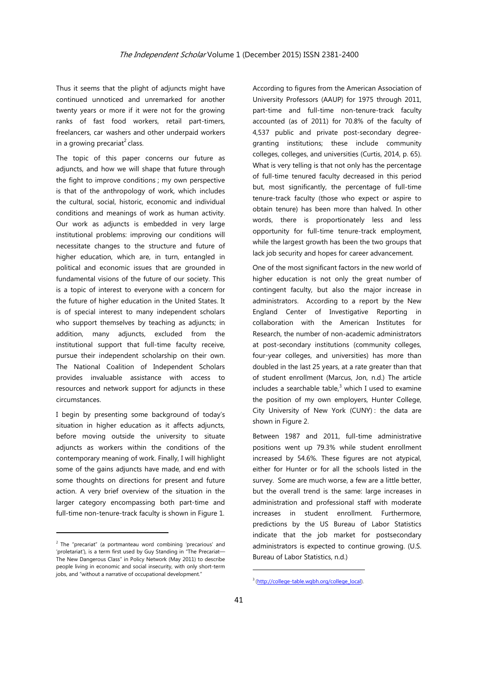Thus it seems that the plight of adjuncts might have continued unnoticed and unremarked for another twenty years or more if it were not for the growing ranks of fast food workers, retail part-timers, freelancers, car washers and other underpaid workers in a growing precariat<sup>2</sup> class.

The topic of this paper concerns our future as adjuncts, and how we will shape that future through the fight to improve conditions ; my own perspective is that of the anthropology of work, which includes the cultural, social, historic, economic and individual conditions and meanings of work as human activity. Our work as adjuncts is embedded in very large institutional problems: improving our conditions will necessitate changes to the structure and future of higher education, which are, in turn, entangled in political and economic issues that are grounded in fundamental visions of the future of our society. This is a topic of interest to everyone with a concern for the future of higher education in the United States. It is of special interest to many independent scholars who support themselves by teaching as adjuncts; in addition, many adjuncts, excluded from the institutional support that full-time faculty receive, pursue their independent scholarship on their own. The National Coalition of Independent Scholars provides invaluable assistance with access to resources and network support for adjuncts in these circumstances.

I begin by presenting some background of today's situation in higher education as it affects adjuncts, before moving outside the university to situate adjuncts as workers within the conditions of the contemporary meaning of work. Finally, I will highlight some of the gains adjuncts have made, and end with some thoughts on directions for present and future action. A very brief overview of the situation in the larger category encompassing both part-time and full-time non-tenure-track faculty is shown in Figure 1.

<u> Andrew Maria (1989)</u>

According to figures from the American Association of University Professors (AAUP) for 1975 through 2011, part-time and full-time non-tenure-track faculty accounted (as of 2011) for 70.8% of the faculty of 4,537 public and private post-secondary degreegranting institutions; these include community colleges, colleges, and universities (Curtis, 2014, p. 65). What is very telling is that not only has the percentage of full-time tenured faculty decreased in this period but, most significantly, the percentage of full-time tenure-track faculty (those who expect or aspire to obtain tenure) has been more than halved. In other words, there is proportionately less and less opportunity for full-time tenure-track employment, while the largest growth has been the two groups that lack job security and hopes for career advancement.

One of the most significant factors in the new world of higher education is not only the great number of contingent faculty, but also the major increase in administrators. According to a report by the New England Center of Investigative Reporting in collaboration with the American Institutes for Research, the number of non-academic administrators at post-secondary institutions (community colleges, four-year colleges, and universities) has more than doubled in the last 25 years, at a rate greater than that of student enrollment (Marcus, Jon, n.d.) The article includes a searchable table, $3$  which I used to examine the position of my own employers, Hunter College, City University of New York (CUNY) : the data are shown in Figure 2.

Between 1987 and 2011, full-time administrative positions went up 79.3% while student enrollment increased by 54.6%. These figures are not atypical, either for Hunter or for all the schools listed in the survey. Some are much worse, a few are a little better, but the overall trend is the same: large increases in administration and professional staff with moderate increases in student enrollment. Furthermore, predictions by the US Bureau of Labor Statistics indicate that the job market for postsecondary administrators is expected to continue growing. (U.S. Bureau of Labor Statistics, n.d.)

 $2$  The "precariat" (a portmanteau word combining 'precarious' and 'proletariat'), is a term first used by Guy Standing in "The Precariat— The New Dangerous Class" in Policy Network (May 2011) to describe people living in economic and social insecurity, with only short-term jobs, and "without a narrative of occupational development."

 <sup>3</sup> (http://college-table.wgbh.org/college\_local).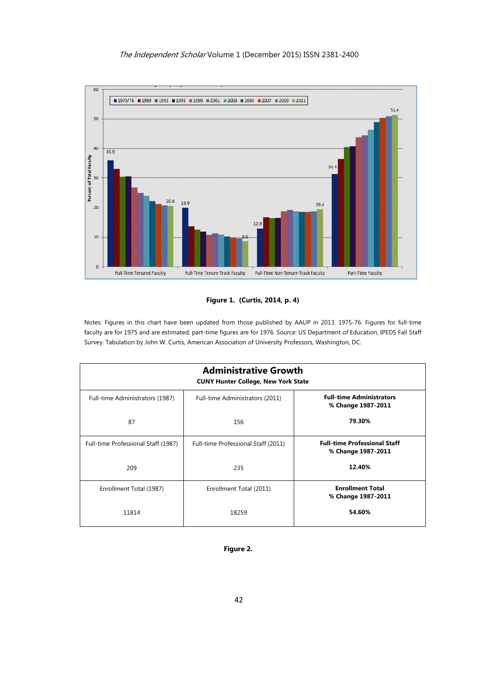## The Independent Scholar Volume 1 (December 2015) ISSN 2381-2400





Notes: Figures in this chart have been updated from those published by AAUP in 2013. 1975-76: Figures for full-time faculty are for 1975 and are estimated; part-time figures are for 1976. Source: US Department of Education, IPEDS Fall Staff Survey. Tabulation by John W. Curtis, American Association of University Professors, Washington, DC.

| <b>Administrative Growth</b><br><b>CUNY Hunter College, New York State</b> |                                     |                                                           |
|----------------------------------------------------------------------------|-------------------------------------|-----------------------------------------------------------|
| Full-time Administrators (1987)                                            | Full-time Administrators (2011)     | <b>Full-time Administrators</b><br>% Change 1987-2011     |
| 87                                                                         | 156                                 | 79.30%                                                    |
| Full-time Professional Staff (1987)                                        | Full-time Professional Staff (2011) | <b>Full-time Professional Staff</b><br>% Change 1987-2011 |
| 209                                                                        | 235                                 | 12.40%                                                    |
| Enrollment Total (1987)                                                    | Enrollment Total (2011)             | <b>Enrollment Total</b><br>% Change 1987-2011             |
| 11814                                                                      | 18259                               | 54.60%                                                    |

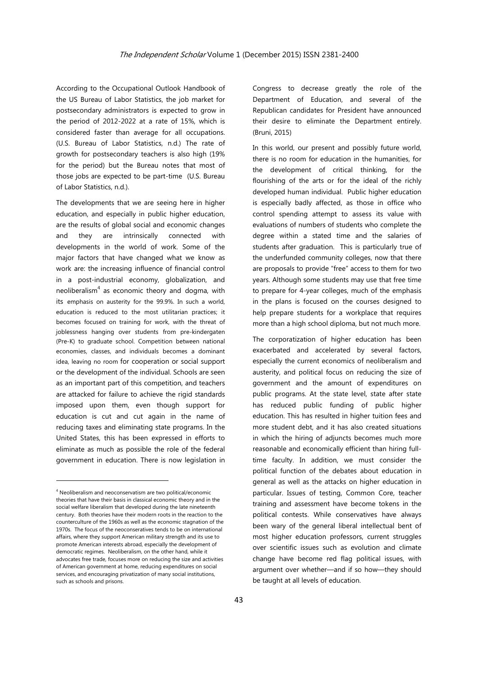According to the Occupational Outlook Handbook of the US Bureau of Labor Statistics, the job market for postsecondary administrators is expected to grow in the period of 2012-2022 at a rate of 15%, which is considered faster than average for all occupations. (U.S. Bureau of Labor Statistics, n.d.) The rate of growth for postsecondary teachers is also high (19% for the period) but the Bureau notes that most of those jobs are expected to be part-time (U.S. Bureau of Labor Statistics, n.d.).

The developments that we are seeing here in higher education, and especially in public higher education, are the results of global social and economic changes and they are intrinsically connected with developments in the world of work. Some of the major factors that have changed what we know as work are: the increasing influence of financial control in a post-industrial economy, globalization, and neoliberalism $4$  as economic theory and dogma, with its emphasis on austerity for the 99.9%. In such a world, education is reduced to the most utilitarian practices; it becomes focused on training for work, with the threat of joblessness hanging over students from pre-kindergaten (Pre-K) to graduate school. Competition between national economies, classes, and individuals becomes a dominant idea, leaving no room for cooperation or social support or the development of the individual. Schools are seen as an important part of this competition, and teachers are attacked for failure to achieve the rigid standards imposed upon them, even though support for education is cut and cut again in the name of reducing taxes and eliminating state programs. In the United States, this has been expressed in efforts to eliminate as much as possible the role of the federal government in education. There is now legislation in

Congress to decrease greatly the role of the Department of Education, and several of the Republican candidates for President have announced their desire to eliminate the Department entirely. (Bruni, 2015)

In this world, our present and possibly future world, there is no room for education in the humanities, for the development of critical thinking, for the flourishing of the arts or for the ideal of the richly developed human individual. Public higher education is especially badly affected, as those in office who control spending attempt to assess its value with evaluations of numbers of students who complete the degree within a stated time and the salaries of students after graduation. This is particularly true of the underfunded community colleges, now that there are proposals to provide "free" access to them for two years. Although some students may use that free time to prepare for 4-year colleges, much of the emphasis in the plans is focused on the courses designed to help prepare students for a workplace that requires more than a high school diploma, but not much more.

The corporatization of higher education has been exacerbated and accelerated by several factors, especially the current economics of neoliberalism and austerity, and political focus on reducing the size of government and the amount of expenditures on public programs. At the state level, state after state has reduced public funding of public higher education. This has resulted in higher tuition fees and more student debt, and it has also created situations in which the hiring of adjuncts becomes much more reasonable and economically efficient than hiring fulltime faculty. In addition, we must consider the political function of the debates about education in general as well as the attacks on higher education in particular. Issues of testing, Common Core, teacher training and assessment have become tokens in the political contests. While conservatives have always been wary of the general liberal intellectual bent of most higher education professors, current struggles over scientific issues such as evolution and climate change have become red flag political issues, with argument over whether—and if so how—they should be taught at all levels of education.

<sup>&</sup>lt;sup>4</sup> Neoliberalism and neoconservatism are two political/economic theories that have their basis in classical economic theory and in the social welfare liberalism that developed during the late nineteenth century. Both theories have their modern roots in the reaction to the counterculture of the 1960s as well as the economic stagnation of the 1970s. The focus of the neoconseratives tends to be on international affairs, where they support American military strength and its use to promote American interests abroad, especially the development of democratic regimes. Neoliberalism, on the other hand, while it advocates free trade, focuses more on reducing the size and activities of American government at home, reducing expenditures on social services, and encouraging privatization of many social institutions, such as schools and prisons.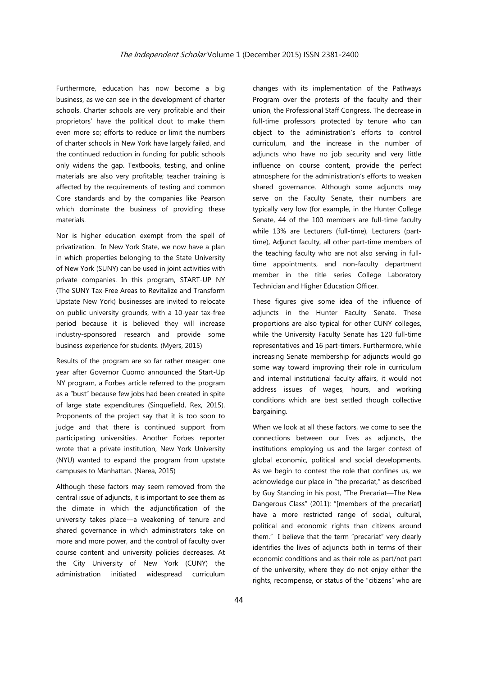Furthermore, education has now become a big business, as we can see in the development of charter schools. Charter schools are very profitable and their proprietors' have the political clout to make them even more so; efforts to reduce or limit the numbers of charter schools in New York have largely failed, and the continued reduction in funding for public schools only widens the gap. Textbooks, testing, and online materials are also very profitable; teacher training is affected by the requirements of testing and common Core standards and by the companies like Pearson which dominate the business of providing these materials.

Nor is higher education exempt from the spell of privatization. In New York State, we now have a plan in which properties belonging to the State University of New York (SUNY) can be used in joint activities with private companies. In this program, START-UP NY (The SUNY Tax-Free Areas to Revitalize and Transform Upstate New York) businesses are invited to relocate on public university grounds, with a 10-year tax-free period because it is believed they will increase industry-sponsored research and provide some business experience for students. (Myers, 2015)

Results of the program are so far rather meager: one year after Governor Cuomo announced the Start-Up NY program, a Forbes article referred to the program as a "bust" because few jobs had been created in spite of large state expenditures (Sinquefield, Rex, 2015). Proponents of the project say that it is too soon to judge and that there is continued support from participating universities. Another Forbes reporter wrote that a private institution, New York University (NYU) wanted to expand the program from upstate campuses to Manhattan. (Narea, 2015)

Although these factors may seem removed from the central issue of adjuncts, it is important to see them as the climate in which the adjunctification of the university takes place—a weakening of tenure and shared governance in which administrators take on more and more power, and the control of faculty over course content and university policies decreases. At the City University of New York (CUNY) the administration initiated widespread curriculum changes with its implementation of the Pathways Program over the protests of the faculty and their union, the Professional Staff Congress. The decrease in full-time professors protected by tenure who can object to the administration's efforts to control curriculum, and the increase in the number of adjuncts who have no job security and very little influence on course content, provide the perfect atmosphere for the administration's efforts to weaken shared governance. Although some adjuncts may serve on the Faculty Senate, their numbers are typically very low (for example, in the Hunter College Senate, 44 of the 100 members are full-time faculty while 13% are Lecturers (full-time), Lecturers (parttime), Adjunct faculty, all other part-time members of the teaching faculty who are not also serving in fulltime appointments, and non-faculty department member in the title series College Laboratory Technician and Higher Education Officer.

These figures give some idea of the influence of adjuncts in the Hunter Faculty Senate. These proportions are also typical for other CUNY colleges, while the University Faculty Senate has 120 full-time representatives and 16 part-timers. Furthermore, while increasing Senate membership for adjuncts would go some way toward improving their role in curriculum and internal institutional faculty affairs, it would not address issues of wages, hours, and working conditions which are best settled though collective bargaining.

When we look at all these factors, we come to see the connections between our lives as adjuncts, the institutions employing us and the larger context of global economic, political and social developments. As we begin to contest the role that confines us, we acknowledge our place in "the precariat," as described by Guy Standing in his post, "The Precariat—The New Dangerous Class" (2011): "[members of the precariat] have a more restricted range of social, cultural, political and economic rights than citizens around them." I believe that the term "precariat" very clearly identifies the lives of adjuncts both in terms of their economic conditions and as their role as part/not part of the university, where they do not enjoy either the rights, recompense, or status of the "citizens" who are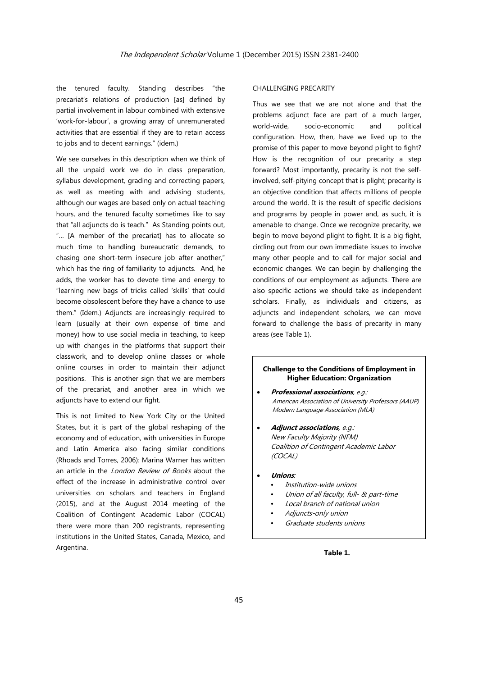the tenured faculty. Standing describes "the precariat's relations of production [as] defined by partial involvement in labour combined with extensive 'work-for-labour', a growing array of unremunerated activities that are essential if they are to retain access to jobs and to decent earnings." (idem.)

We see ourselves in this description when we think of all the unpaid work we do in class preparation, syllabus development, grading and correcting papers, as well as meeting with and advising students, although our wages are based only on actual teaching hours, and the tenured faculty sometimes like to say that "all adjuncts do is teach." As Standing points out, "… [A member of the precariat] has to allocate so much time to handling bureaucratic demands, to chasing one short-term insecure job after another," which has the ring of familiarity to adjuncts. And, he adds, the worker has to devote time and energy to "learning new bags of tricks called 'skills' that could become obsolescent before they have a chance to use them." (Idem.) Adjuncts are increasingly required to learn (usually at their own expense of time and money) how to use social media in teaching, to keep up with changes in the platforms that support their classwork, and to develop online classes or whole online courses in order to maintain their adjunct positions. This is another sign that we are members of the precariat, and another area in which we adjuncts have to extend our fight.

This is not limited to New York City or the United States, but it is part of the global reshaping of the economy and of education, with universities in Europe and Latin America also facing similar conditions (Rhoads and Torres, 2006): Marina Warner has written an article in the *London Review of Books* about the effect of the increase in administrative control over universities on scholars and teachers in England (2015), and at the August 2014 meeting of the Coalition of Contingent Academic Labor (COCAL) there were more than 200 registrants, representing institutions in the United States, Canada, Mexico, and Argentina.

#### CHALLENGING PRECARITY

Thus we see that we are not alone and that the problems adjunct face are part of a much larger, world-wide, socio-economic and political configuration. How, then, have we lived up to the promise of this paper to move beyond plight to fight? How is the recognition of our precarity a step forward? Most importantly, precarity is not the selfinvolved, self-pitying concept that is plight; precarity is an objective condition that affects millions of people around the world. It is the result of specific decisions and programs by people in power and, as such, it is amenable to change. Once we recognize precarity, we begin to move beyond plight to fight. It is a big fight, circling out from our own immediate issues to involve many other people and to call for major social and economic changes. We can begin by challenging the conditions of our employment as adjuncts. There are also specific actions we should take as independent scholars. Finally, as individuals and citizens, as adjuncts and independent scholars, we can move forward to challenge the basis of precarity in many areas (see Table 1).

#### **Challenge to the Conditions of Employment in Higher Education: Organization**

- **Professional associations**, e.g.: American Association of University Professors (AAUP) Modern Language Association (MLA)
- **Adjunct associations**, e.g.: New Faculty Majority (NFM) Coalition of Contingent Academic Labor (COCAL)
- **Unions**:
	- Institution-wide unions
	- Union of all faculty, full- & part-time
	- Local branch of national union
	- Adjuncts-only union
	- Graduate students unions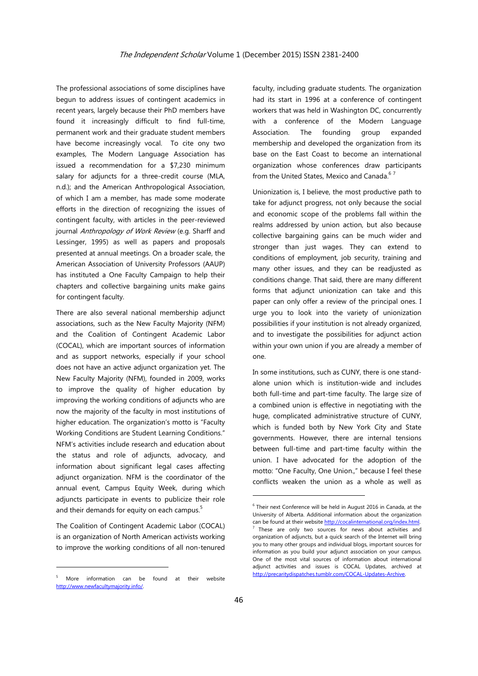The professional associations of some disciplines have begun to address issues of contingent academics in recent years, largely because their PhD members have found it increasingly difficult to find full-time, permanent work and their graduate student members have become increasingly vocal. To cite ony two examples, The Modern Language Association has issued a recommendation for a \$7,230 minimum salary for adjuncts for a three-credit course (MLA, n.d.); and the American Anthropological Association, of which I am a member, has made some moderate efforts in the direction of recognizing the issues of contingent faculty, with articles in the peer-reviewed journal Anthropology of Work Review (e.g. Sharff and Lessinger, 1995) as well as papers and proposals presented at annual meetings. On a broader scale, the American Association of University Professors (AAUP) has instituted a One Faculty Campaign to help their chapters and collective bargaining units make gains for contingent faculty.

There are also several national membership adjunct associations, such as the New Faculty Majority (NFM) and the Coalition of Contingent Academic Labor (COCAL), which are important sources of information and as support networks, especially if your school does not have an active adjunct organization yet. The New Faculty Majority (NFM), founded in 2009, works to improve the quality of higher education by improving the working conditions of adjuncts who are now the majority of the faculty in most institutions of higher education. The organization's motto is "Faculty Working Conditions are Student Learning Conditions." NFM's activities include research and education about the status and role of adjuncts, advocacy, and information about significant legal cases affecting adjunct organization. NFM is the coordinator of the annual event, Campus Equity Week, during which adjuncts participate in events to publicize their role and their demands for equity on each campus. $5$ 

The Coalition of Contingent Academic Labor (COCAL) is an organization of North American activists working to improve the working conditions of all non-tenured

<u> Andrew Maria (1989)</u>

faculty, including graduate students. The organization had its start in 1996 at a conference of contingent workers that was held in Washington DC, concurrently with a conference of the Modern Language Association. The founding group expanded membership and developed the organization from its base on the East Coast to become an international organization whose conferences draw participants from the United States, Mexico and Canada. $67$ 

Unionization is, I believe, the most productive path to take for adjunct progress, not only because the social and economic scope of the problems fall within the realms addressed by union action, but also because collective bargaining gains can be much wider and stronger than just wages. They can extend to conditions of employment, job security, training and many other issues, and they can be readjusted as conditions change. That said, there are many different forms that adjunct unionization can take and this paper can only offer a review of the principal ones. I urge you to look into the variety of unionization possibilities if your institution is not already organized, and to investigate the possibilities for adjunct action within your own union if you are already a member of one.

In some institutions, such as CUNY, there is one standalone union which is institution-wide and includes both full-time and part-time faculty. The large size of a combined union is effective in negotiating with the huge, complicated administrative structure of CUNY, which is funded both by New York City and State governments. However, there are internal tensions between full-time and part-time faculty within the union. I have advocated for the adoption of the motto: "One Faculty, One Union.." because I feel these conflicts weaken the union as a whole as well as

<u> Terminal de la propincia de la propincia de la propincia de la propincia de la propincia de la propincia de l</u>

<sup>5</sup> More information can be found at their website http://www.newfacultymajority.info/.

<sup>6</sup> Their next Conference will be held in August 2016 in Canada, at the University of Alberta. Additional information about the organization can be found at their website  $\frac{http://cocalinternational.org/index.html}{http://cocalinternational.org/index.html}$ .<br><sup>7</sup> These are only two sources for news about activities and organization of adjuncts, but a quick search of the Internet will bring you to many other groups and individual blogs, important sources for information as you build your adjunct association on your campus. One of the most vital sources of information about international adjunct activities and issues is COCAL Updates, archived at http://precaritydispatches.tumblr.com/COCAL-Updates-Archive.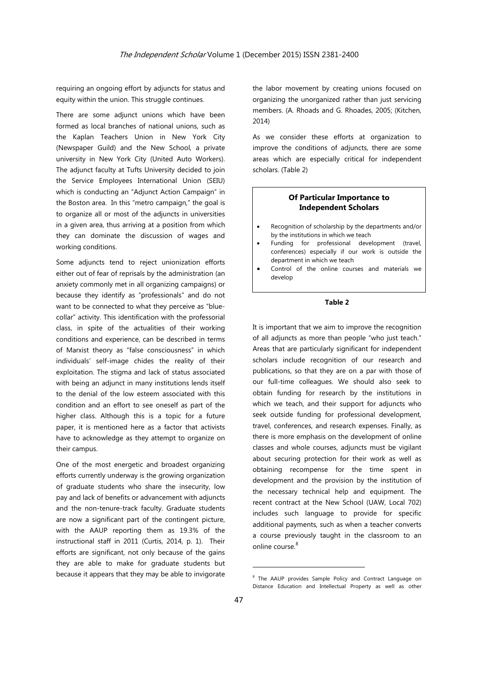requiring an ongoing effort by adjuncts for status and equity within the union. This struggle continues.

There are some adjunct unions which have been formed as local branches of national unions, such as the Kaplan Teachers Union in New York City (Newspaper Guild) and the New School, a private university in New York City (United Auto Workers). The adjunct faculty at Tufts University decided to join the Service Employees International Union (SEIU) which is conducting an "Adjunct Action Campaign" in the Boston area. In this "metro campaign," the goal is to organize all or most of the adjuncts in universities in a given area, thus arriving at a position from which they can dominate the discussion of wages and working conditions.

Some adjuncts tend to reject unionization efforts either out of fear of reprisals by the administration (an anxiety commonly met in all organizing campaigns) or because they identify as "professionals" and do not want to be connected to what they perceive as "bluecollar" activity. This identification with the professorial class, in spite of the actualities of their working conditions and experience, can be described in terms of Marxist theory as "false consciousness" in which individuals' self-image chides the reality of their exploitation. The stigma and lack of status associated with being an adjunct in many institutions lends itself to the denial of the low esteem associated with this condition and an effort to see oneself as part of the higher class. Although this is a topic for a future paper, it is mentioned here as a factor that activists have to acknowledge as they attempt to organize on their campus.

One of the most energetic and broadest organizing efforts currently underway is the growing organization of graduate students who share the insecurity, low pay and lack of benefits or advancement with adjuncts and the non-tenure-track faculty. Graduate students are now a significant part of the contingent picture, with the AAUP reporting them as 19.3% of the instructional staff in 2011 (Curtis, 2014, p. 1). Their efforts are significant, not only because of the gains they are able to make for graduate students but because it appears that they may be able to invigorate the labor movement by creating unions focused on organizing the unorganized rather than just servicing members. (A. Rhoads and G. Rhoades, 2005; (Kitchen, 2014)

As we consider these efforts at organization to improve the conditions of adjuncts, there are some areas which are especially critical for independent scholars. (Table 2)

### **Of Particular Importance to Independent Scholars**

- Recognition of scholarship by the departments and/or by the institutions in which we teach
- Funding for professional development (travel, conferences) especially if our work is outside the department in which we teach
- Control of the online courses and materials we develop

### **Table 2**

It is important that we aim to improve the recognition of all adjuncts as more than people "who just teach." Areas that are particularly significant for independent scholars include recognition of our research and publications, so that they are on a par with those of our full-time colleagues. We should also seek to obtain funding for research by the institutions in which we teach, and their support for adjuncts who seek outside funding for professional development, travel, conferences, and research expenses. Finally, as there is more emphasis on the development of online classes and whole courses, adjuncts must be vigilant about securing protection for their work as well as obtaining recompense for the time spent in development and the provision by the institution of the necessary technical help and equipment. The recent contract at the New School (UAW, Local 702) includes such language to provide for specific additional payments, such as when a teacher converts a course previously taught in the classroom to an online course.<sup>8</sup>

<u> Terminal de la propincia de la propincia de la propincia de la propincia de la propincia de la propincia de l</u>

<sup>&</sup>lt;sup>8</sup> The AAUP provides Sample Policy and Contract Language on Distance Education and Intellectual Property as well as other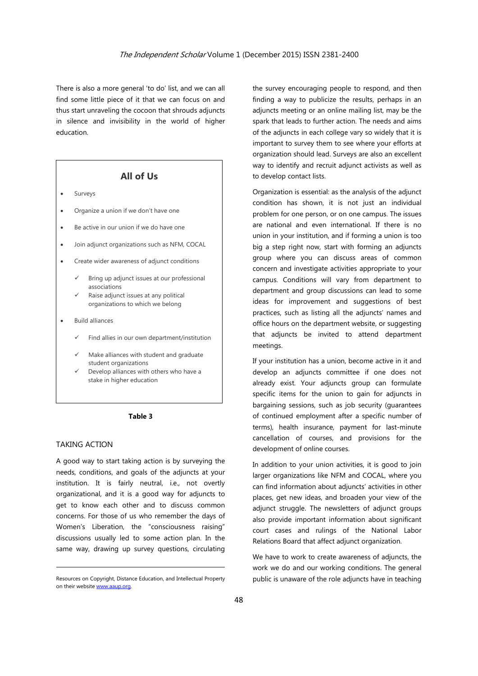There is also a more general 'to do' list, and we can all find some little piece of it that we can focus on and thus start unraveling the cocoon that shrouds adjuncts in silence and invisibility in the world of higher education.

# **All of Us**

- Surveys
- Organize a union if we don't have one
- Be active in our union if we do have one
- Join adjunct organizations such as NFM, COCAL
- Create wider awareness of adjunct conditions
	- Bring up adjunct issues at our professional associations
	- Raise adjunct issues at any political organizations to which we belong
- Build alliances
	- Find allies in our own department/institution
	- Make alliances with student and graduate student organizations
	- Develop alliances with others who have a stake in higher education

#### **Table 3**

#### TAKING ACTION

A good way to start taking action is by surveying the needs, conditions, and goals of the adjuncts at your institution. It is fairly neutral, i.e., not overtly organizational, and it is a good way for adjuncts to get to know each other and to discuss common concerns. For those of us who remember the days of Women's Liberation, the "consciousness raising" discussions usually led to some action plan. In the same way, drawing up survey questions, circulating

<u> 1989 - Johann Barn, mars ann an t-Amhain an t-Amhain an t-Amhain an t-Amhain an t-Amhain an t-Amhain an t-Amh</u>

the survey encouraging people to respond, and then finding a way to publicize the results, perhaps in an adjuncts meeting or an online mailing list, may be the spark that leads to further action. The needs and aims of the adjuncts in each college vary so widely that it is important to survey them to see where your efforts at organization should lead. Surveys are also an excellent way to identify and recruit adjunct activists as well as to develop contact lists.

Organization is essential: as the analysis of the adjunct condition has shown, it is not just an individual problem for one person, or on one campus. The issues are national and even international. If there is no union in your institution, and if forming a union is too big a step right now, start with forming an adjuncts group where you can discuss areas of common concern and investigate activities appropriate to your campus. Conditions will vary from department to department and group discussions can lead to some ideas for improvement and suggestions of best practices, such as listing all the adjuncts' names and office hours on the department website, or suggesting that adjuncts be invited to attend department meetings.

If your institution has a union, become active in it and develop an adjuncts committee if one does not already exist. Your adjuncts group can formulate specific items for the union to gain for adjuncts in bargaining sessions, such as job security (guarantees of continued employment after a specific number of terms), health insurance, payment for last-minute cancellation of courses, and provisions for the development of online courses.

In addition to your union activities, it is good to join larger organizations like NFM and COCAL, where you can find information about adjuncts' activities in other places, get new ideas, and broaden your view of the adjunct struggle. The newsletters of adjunct groups also provide important information about significant court cases and rulings of the National Labor Relations Board that affect adjunct organization.

We have to work to create awareness of adjuncts, the work we do and our working conditions. The general public is unaware of the role adjuncts have in teaching

Resources on Copyright, Distance Education, and Intellectual Property on their website www.aaup.org.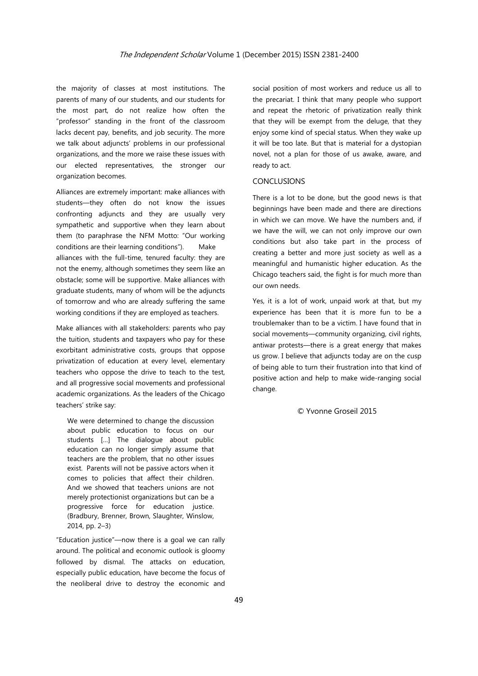the majority of classes at most institutions. The parents of many of our students, and our students for the most part, do not realize how often the "professor" standing in the front of the classroom lacks decent pay, benefits, and job security. The more we talk about adjuncts' problems in our professional organizations, and the more we raise these issues with our elected representatives, the stronger our organization becomes.

Alliances are extremely important: make alliances with students—they often do not know the issues confronting adjuncts and they are usually very sympathetic and supportive when they learn about them (to paraphrase the NFM Motto: "Our working conditions are their learning conditions"). Make alliances with the full-time, tenured faculty: they are not the enemy, although sometimes they seem like an obstacle; some will be supportive. Make alliances with graduate students, many of whom will be the adjuncts of tomorrow and who are already suffering the same working conditions if they are employed as teachers.

Make alliances with all stakeholders: parents who pay the tuition, students and taxpayers who pay for these exorbitant administrative costs, groups that oppose privatization of education at every level, elementary teachers who oppose the drive to teach to the test, and all progressive social movements and professional academic organizations. As the leaders of the Chicago teachers' strike say:

We were determined to change the discussion about public education to focus on our students […] The dialogue about public education can no longer simply assume that teachers are the problem, that no other issues exist. Parents will not be passive actors when it comes to policies that affect their children. And we showed that teachers unions are not merely protectionist organizations but can be a progressive force for education justice. (Bradbury, Brenner, Brown, Slaughter, Winslow, 2014, pp. 2–3)

"Education justice"—now there is a goal we can rally around. The political and economic outlook is gloomy followed by dismal. The attacks on education, especially public education, have become the focus of the neoliberal drive to destroy the economic and social position of most workers and reduce us all to the precariat. I think that many people who support and repeat the rhetoric of privatization really think that they will be exempt from the deluge, that they enjoy some kind of special status. When they wake up it will be too late. But that is material for a dystopian novel, not a plan for those of us awake, aware, and ready to act.

## CONCLUSIONS

There is a lot to be done, but the good news is that beginnings have been made and there are directions in which we can move. We have the numbers and, if we have the will, we can not only improve our own conditions but also take part in the process of creating a better and more just society as well as a meaningful and humanistic higher education. As the Chicago teachers said, the fight is for much more than our own needs.

Yes, it is a lot of work, unpaid work at that, but my experience has been that it is more fun to be a troublemaker than to be a victim. I have found that in social movements—community organizing, civil rights, antiwar protests—there is a great energy that makes us grow. I believe that adjuncts today are on the cusp of being able to turn their frustration into that kind of positive action and help to make wide-ranging social change.

© Yvonne Groseil 2015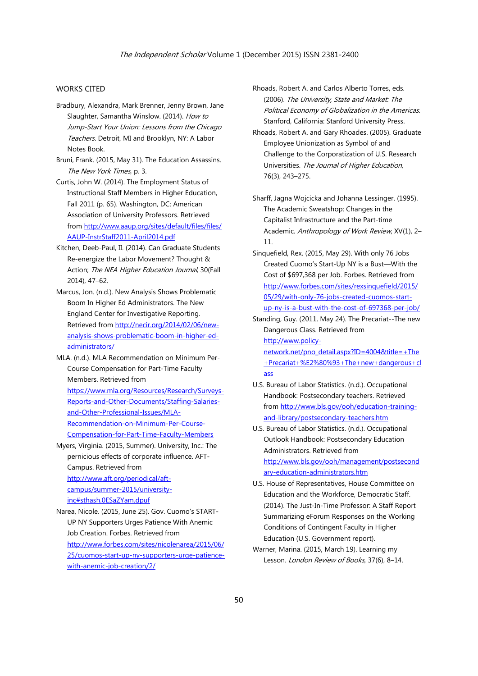## WORKS CITED

- Bradbury, Alexandra, Mark Brenner, Jenny Brown, Jane Slaughter, Samantha Winslow. (2014). How to Jump-Start Your Union: Lessons from the Chicago Teachers. Detroit, MI and Brooklyn, NY: A Labor Notes Book.
- Bruni, Frank. (2015, May 31). The Education Assassins. The New York Times, p. 3.
- Curtis, John W. (2014). The Employment Status of Instructional Staff Members in Higher Education, Fall 2011 (p. 65). Washington, DC: American Association of University Professors. Retrieved from http://www.aaup.org/sites/default/files/files/ AAUP-InstrStaff2011-April2014.pdf
- Kitchen, Deeb-Paul, II. (2014). Can Graduate Students Re-energize the Labor Movement? Thought & Action; The NEA Higher Education Journal, 30(Fall 2014), 47–62.
- Marcus, Jon. (n.d.). New Analysis Shows Problematic Boom In Higher Ed Administrators. The New England Center for Investigative Reporting. Retrieved from http://necir.org/2014/02/06/newanalysis-shows-problematic-boom-in-higher-edadministrators/
- MLA. (n.d.). MLA Recommendation on Minimum Per-Course Compensation for Part-Time Faculty Members. Retrieved from https://www.mla.org/Resources/Research/Surveys-Reports-and-Other-Documents/Staffing-Salariesand-Other-Professional-Issues/MLA-Recommendation-on-Minimum-Per-Course-Compensation-for-Part-Time-Faculty-Members
- Myers, Virginia. (2015, Summer). University, Inc.: The pernicious effects of corporate influence. AFT-Campus. Retrieved from http://www.aft.org/periodical/aftcampus/summer-2015/universityinc#sthash.0ESaZYam.dpuf
- Narea, Nicole. (2015, June 25). Gov. Cuomo's START-UP NY Supporters Urges Patience With Anemic Job Creation. Forbes. Retrieved from http://www.forbes.com/sites/nicolenarea/2015/06/ 25/cuomos-start-up-ny-supporters-urge-patiencewith-anemic-job-creation/2/
- Rhoads, Robert A. and Carlos Alberto Torres, eds. (2006). The University, State and Market: The Political Economy of Globalization in the Americas. Stanford, California: Stanford University Press.
- Rhoads, Robert A. and Gary Rhoades. (2005). Graduate Employee Unionization as Symbol of and Challenge to the Corporatization of U.S. Research Universities. The Journal of Higher Education, 76(3), 243–275.

Sharff, Jagna Wojcicka and Johanna Lessinger. (1995). The Academic Sweatshop: Changes in the Capitalist Infrastructure and the Part-time Academic. Anthropology of Work Review, XV(1), 2-11.

- Sinquefield, Rex. (2015, May 29). With only 76 Jobs Created Cuomo's Start-Up NY is a Bust—With the Cost of \$697,368 per Job. Forbes. Retrieved from http://www.forbes.com/sites/rexsinquefield/2015/ 05/29/with-only-76-jobs-created-cuomos-startup-ny-is-a-bust-with-the-cost-of-697368-per-job/
- Standing, Guy. (2011, May 24). The Precariat--The new Dangerous Class. Retrieved from http://www.policy-

network.net/pno\_detail.aspx?ID=4004&title=+The +Precariat+%E2%80%93+The+new+dangerous+cl ass

- U.S. Bureau of Labor Statistics. (n.d.). Occupational Handbook: Postsecondary teachers. Retrieved from http://www.bls.gov/ooh/education-trainingand-library/postsecondary-teachers.htm
- U.S. Bureau of Labor Statistics. (n.d.). Occupational Outlook Handbook: Postsecondary Education Administrators. Retrieved from http://www.bls.gov/ooh/management/postsecond ary-education-administrators.htm
- U.S. House of Representatives, House Committee on Education and the Workforce, Democratic Staff. (2014). The Just-In-Time Professor: A Staff Report Summarizing eForum Responses on the Working Conditions of Contingent Faculty in Higher Education (U.S. Government report).
- Warner, Marina. (2015, March 19). Learning my Lesson. London Review of Books, 37(6), 8-14.